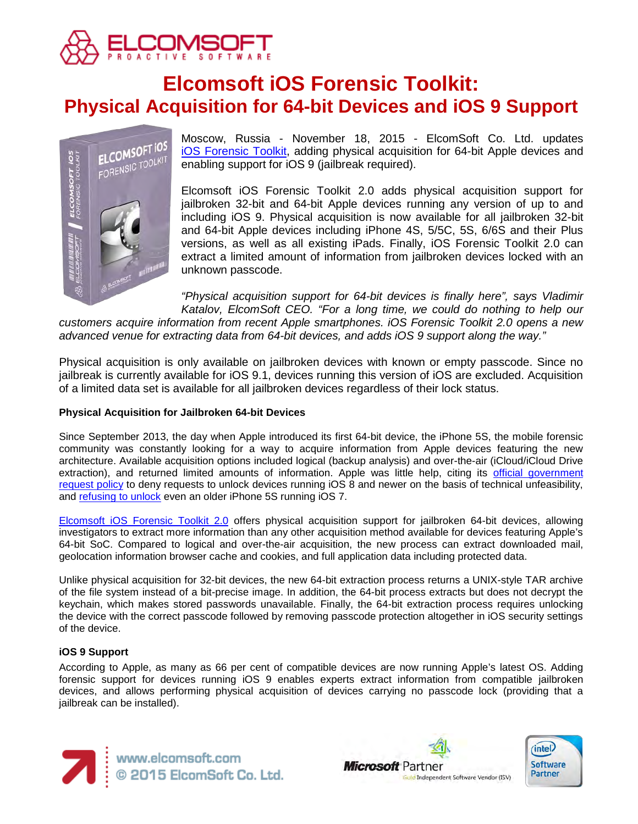

# **Elcomsoft iOS Forensic Toolkit: Physical Acquisition for 64-bit Devices and iOS 9 Support**



Moscow, Russia - November 18, 2015 - ElcomSoft Co. Ltd. updates [iOS Forensic Toolkit,](https://www.elcomsoft.com/eift.html) adding physical acquisition for 64-bit Apple devices and enabling support for iOS 9 (jailbreak required).

Elcomsoft iOS Forensic Toolkit 2.0 adds physical acquisition support for jailbroken 32-bit and 64-bit Apple devices running any version of up to and including iOS 9. Physical acquisition is now available for all jailbroken 32-bit and 64-bit Apple devices including iPhone 4S, 5/5C, 5S, 6/6S and their Plus versions, as well as all existing iPads. Finally, iOS Forensic Toolkit 2.0 can extract a limited amount of information from jailbroken devices locked with an unknown passcode.

*"Physical acquisition support for 64-bit devices is finally here", says Vladimir Katalov, ElcomSoft CEO. "For a long time, we could do nothing to help our customers acquire information from recent Apple smartphones. iOS Forensic Toolkit 2.0 opens a new* 

*advanced venue for extracting data from 64-bit devices, and adds iOS 9 support along the way."*

Physical acquisition is only available on jailbroken devices with known or empty passcode. Since no jailbreak is currently available for iOS 9.1, devices running this version of iOS are excluded. Acquisition of a limited data set is available for all jailbroken devices regardless of their lock status.

## **Physical Acquisition for Jailbroken 64-bit Devices**

Since September 2013, the day when Apple introduced its first 64-bit device, the iPhone 5S, the mobile forensic community was constantly looking for a way to acquire information from Apple devices featuring the new architecture. Available acquisition options included logical (backup analysis) and over-the-air (iCloud/iCloud Drive extraction), and returned limited amounts of information. Apple was little help, citing its [official government](http://www.apple.com/privacy/government-information-requests/)  [request policy](http://www.apple.com/privacy/government-information-requests/) to deny requests to unlock devices running iOS 8 and newer on the basis of technical unfeasibility, and [refusing to unlock](http://www.slashgear.com/apple-technically-impossible-to-unlock-newer-ios-devices-21410779/) even an older iPhone 5S running iOS 7.

[Elcomsoft iOS Forensic Toolkit 2.0](https://www.elcomsoft.com/eift.html) offers physical acquisition support for jailbroken 64-bit devices, allowing investigators to extract more information than any other acquisition method available for devices featuring Apple's 64-bit SoC. Compared to logical and over-the-air acquisition, the new process can extract downloaded mail, geolocation information browser cache and cookies, and full application data including protected data.

Unlike physical acquisition for 32-bit devices, the new 64-bit extraction process returns a UNIX-style TAR archive of the file system instead of a bit-precise image. In addition, the 64-bit process extracts but does not decrypt the keychain, which makes stored passwords unavailable. Finally, the 64-bit extraction process requires unlocking the device with the correct passcode followed by removing passcode protection altogether in iOS security settings of the device.

### **iOS 9 Support**

According to Apple, as many as 66 per cent of compatible devices are now running Apple's latest OS. Adding forensic support for devices running iOS 9 enables experts extract information from compatible jailbroken devices, and allows performing physical acquisition of devices carrying no passcode lock (providing that a jailbreak can be installed).